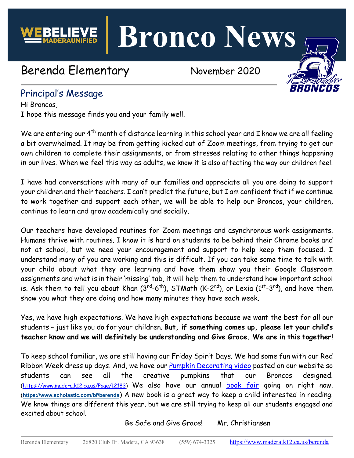**Bronco News**

# Berenda Elementary November 2020



# Principal's Message

Hi Broncos, I hope this message finds you and your family well.

We are entering our 4<sup>th</sup> month of distance learning in this school year and I know we are all feeling a bit overwhelmed. It may be from getting kicked out of Zoom meetings, from trying to get our own children to complete their assignments, or from stresses relating to other things happening in our lives. When we feel this way as adults, we know it is also affecting the way our children feel.

I have had conversations with many of our families and appreciate all you are doing to support your children and their teachers. I can't predict the future, but I am confident that if we continue to work together and support each other, we will be able to help our Broncos, your children, continue to learn and grow academically and socially.

Our teachers have developed routines for Zoom meetings and asynchronous work assignments. Humans thrive with routines. I know it is hard on students to be behind their Chrome books and not at school, but we need your encouragement and support to help keep them focused. I understand many of you are working and this is difficult. If you can take some time to talk with your child about what they are learning and have them show you their Google Classroom assignments and what is in their 'missing' tab, it will help them to understand how important school is. Ask them to tell you about Khan  $(3^{rd}-6^{th})$ , STMath  $(K-2^{nd})$ , or Lexia  $(1^{st}-3^{rd})$ , and have them show you what they are doing and how many minutes they have each week.

Yes, we have high expectations. We have high expectations because we want the best for all our students – just like you do for your children. **But, if something comes up, please let your child's teacher know and we will definitely be understanding and Give Grace. We are in this together!**

To keep school familiar, we are still having our Friday Spirit Days. We had some fun with our Red Ribbon Week dress up days. And, we have our [Pumpkin Decorating video](https://www.madera.k12.ca.us/Page/12183) posted on our website so students can see all the creative pumpkins that our Broncos designed. (<https://www.madera.k12.ca.us/Page/12183>) We also have our annual [book fair](https://www.scholastic.com/bf/berenda) going on right now. (**<https://www.scholastic.com/bf/berenda>**) A new book is a great way to keep a child interested in reading! We know things are different this year, but we are still trying to keep all our students engaged and excited about school.

Be Safe and Give Grace! Mr. Christiansen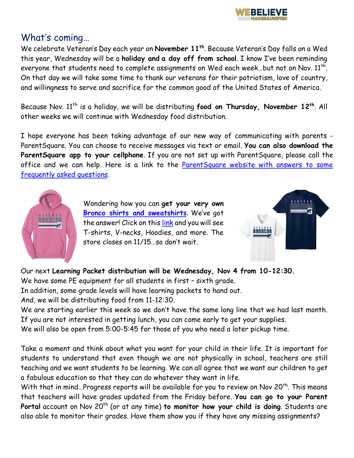

#### What's coming…

We celebrate Veteran's Day each year on **November 11th**. Because Veteran's Day falls on a Wed this year, Wednesday will be a **holiday and a day off from school**. I know I've been reminding everyone that students need to complete assignments on Wed each week...but not on Nov. 11<sup>th</sup>. On that day we will take some time to thank our veterans for their patriotism, love of country, and willingness to serve and sacrifice for the common good of the United States of America.

Because Nov. 11th is a holiday, we will be distributing **food on Thursday, November 12th**. All other weeks we will continue with Wednesday food distribution.

I hope everyone has been taking advantage of our new way of communicating with parents - ParentSquare. You can choose to receive messages via text or email. **You can also download the ParentSquare app to your cellphone**. If you are not set up with ParentSquare, please call the office and we can help. Here is a link to the **ParentSquare website with answers to some** [frequently asked questions.](http://blog.parentsquare.com/blog/2020/7/15/help-please-frequently-asked-parent-questions)



Wondering how you can **get your very own [Bronco shirts and sweatshirts](https://pro-t-s.printavo.com/merch/berenda)**. We've got the answer! Click on this [link](https://pro-t-s.printavo.com/merch/berenda) and you will see T-shirts, V-necks, Hoodies, and more. The store closes on 11/15…so don't wait.



Our next **Learning Packet distribution will be Wednesday, Nov 4 from 10-12:30.**

We have some PE equipment for all students in first – sixth grade.

In addition, some grade levels will have learning packets to hand out.

And, we will be distributing food from 11-12:30.

We are starting earlier this week so we don't have the same long line that we had last month. If you are not interested in getting lunch, you can come early to get your supplies.

We will also be open from 5:00-5:45 for those of you who need a later pickup time.

Take a moment and think about what you want for your child in their life. It is important for students to understand that even though we are not physically in school, teachers are still teaching and we want students to be learning. We can all agree that we want our children to get a fabulous education so that they can do whatever they want in life.

With that in mind...Progress reports will be available for you to review on Nov 20<sup>th</sup>. This means that teachers will have grades updated from the Friday before. **You can go to your Parent**  Portal account on Nov 20<sup>th</sup> (or at any time) to monitor how your child is doing. Students are also able to monitor their grades. Have them show you if they have any missing assignments?